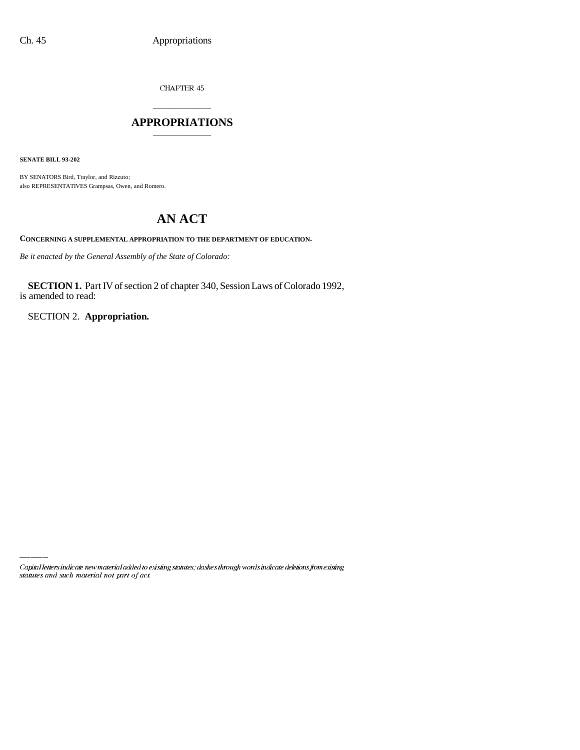CHAPTER  $45$ 

## \_\_\_\_\_\_\_\_\_\_\_\_\_\_\_ **APPROPRIATIONS** \_\_\_\_\_\_\_\_\_\_\_\_\_\_\_

**SENATE BILL 93-202**

BY SENATORS Bird, Traylor, and Rizzuto; also REPRESENTATIVES Grampsas, Owen, and Romero.

# **AN ACT**

**CONCERNING A SUPPLEMENTAL APPROPRIATION TO THE DEPARTMENT OF EDUCATION.**

*Be it enacted by the General Assembly of the State of Colorado:*

**SECTION 1.** Part IV of section 2 of chapter 340, Session Laws of Colorado 1992, is amended to read:

SECTION 2. **Appropriation.**

Capital letters indicate new material added to existing statutes; dashes through words indicate deletions from existing statutes and such material not part of act.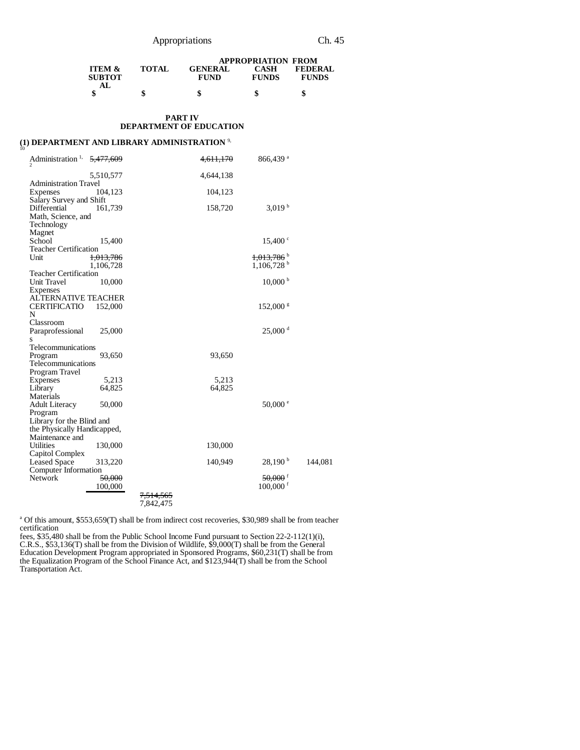### Appropriations Ch. 45

|                                           |              |                               | <b>APPROPRIATION FROM</b> |                                |
|-------------------------------------------|--------------|-------------------------------|---------------------------|--------------------------------|
| <b>ITEM &amp;</b><br><b>SUBTOT</b><br>AL. | <b>TOTAL</b> | <b>GENERAL</b><br><b>FUND</b> | CASH<br><b>FUNDS</b>      | <b>FEDERAL</b><br><b>FUNDS</b> |
|                                           |              | \$                            |                           |                                |

### **PART IV DEPARTMENT OF EDUCATION**

# **(1) DEPARTMENT AND LIBRARY ADMINISTRATION** 9, 10

| Administration <sup>1,</sup>                             | 5,477,609            |                        | <del>4,611,170</del> | 866,439 <sup>a</sup>     |         |
|----------------------------------------------------------|----------------------|------------------------|----------------------|--------------------------|---------|
|                                                          | 5,510,577            |                        | 4,644,138            |                          |         |
| <b>Administration Travel</b><br><b>Expenses</b>          | 104,123              |                        | 104,123              |                          |         |
| Salary Survey and Shift<br>Differential                  | 161,739              |                        | 158,720              | 3,019 <sup>b</sup>       |         |
| Math, Science, and<br>Technology                         |                      |                        |                      |                          |         |
| Magnet                                                   |                      |                        |                      |                          |         |
| School<br><b>Teacher Certification</b>                   | 15,400               |                        |                      | $15,400^{\circ}$         |         |
| Unit                                                     | <del>1,013,786</del> |                        |                      | $1,013,786$ <sup>b</sup> |         |
| Teacher Certification                                    | 1,106,728            |                        |                      | $1,106,728$ <sup>b</sup> |         |
| Unit Travel                                              | 10,000               |                        |                      | $10,000^{\mathrm{b}}$    |         |
| Expenses<br><b>ALTERNATIVE TEACHER</b>                   |                      |                        |                      |                          |         |
| <b>CERTIFICATIO</b><br>N                                 | 152,000              |                        |                      | $152,000$ s              |         |
| Classroom                                                |                      |                        |                      |                          |         |
| Paraprofessional<br>S                                    | 25,000               |                        |                      | $25,000$ <sup>d</sup>    |         |
| Telecommunications                                       |                      |                        |                      |                          |         |
| Program<br>Telecommunications                            | 93,650               |                        | 93,650               |                          |         |
| Program Travel                                           |                      |                        |                      |                          |         |
| Expenses<br>Library                                      | 5,213<br>64,825      |                        | 5,213<br>64,825      |                          |         |
| Materials                                                |                      |                        |                      |                          |         |
| <b>Adult Literacy</b><br>Program                         | 50,000               |                        |                      | $50,000$ $\degree$       |         |
| Library for the Blind and<br>the Physically Handicapped, |                      |                        |                      |                          |         |
| Maintenance and                                          |                      |                        |                      |                          |         |
| <b>Utilities</b><br>Capitol Complex                      | 130,000              |                        | 130,000              |                          |         |
| <b>Leased Space</b>                                      | 313,220              |                        | 140,949              | $28,190^{\mathrm{b}}$    | 144,081 |
| Computer Information<br>Network                          | 50,000               |                        |                      | $50,000$ <sup>f</sup>    |         |
|                                                          | 100,000              |                        |                      | $100,000$ <sup>f</sup>   |         |
|                                                          |                      | 7,514,565<br>7,842,475 |                      |                          |         |

<sup>a</sup> Of this amount, \$553,659(T) shall be from indirect cost recoveries, \$30,989 shall be from teacher certification

fees, \$35,480 shall be from the Public School Income Fund pursuant to Section 22-2-112(1)(i), C.R.S., \$53,136(T) shall be from the Division of Wildlife, \$9,000(T) shall be from the General Education Development Program appropriated in Sponsored Programs, \$60,231(T) shall be from the Equalization Program of the School Finance Act, and \$123,944(T) shall be from the School Transportation Act.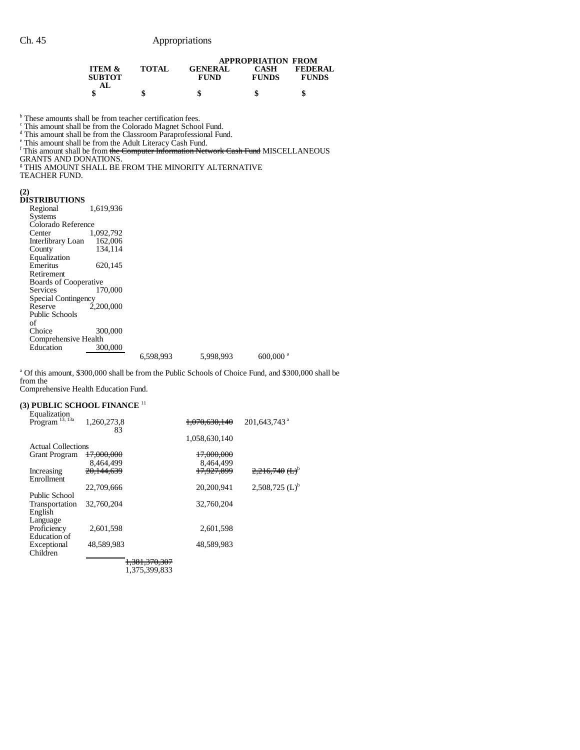|                                    |              | <b>APPROPRIATION FROM</b>     |                      |                                |  |
|------------------------------------|--------------|-------------------------------|----------------------|--------------------------------|--|
| <b>ITEM &amp;</b><br><b>SUBTOT</b> | <b>TOTAL</b> | <b>GENERAL</b><br><b>FUND</b> | CASH<br><b>FUNDS</b> | <b>FEDERAL</b><br><b>FUNDS</b> |  |
|                                    |              | \$                            |                      |                                |  |

<sup>b</sup> These amounts shall be from teacher certification fees.<br><sup>c</sup> This amount shall be from the Colorado Magnet School Fund.<br><sup>d</sup> This amount shall be from the Classroom Paraprofessional Fund.<br><sup>e</sup> This amount shall be from th

GRANTS AND DONATIONS. g THIS AMOUNT SHALL BE FROM THE MINORITY ALTERNATIVE

TEACHER FUND.

#### **(2)**

| <b>DISTRIBUTIONS</b>         |           |           |           |                        |
|------------------------------|-----------|-----------|-----------|------------------------|
| Regional                     | 1.619.936 |           |           |                        |
| <b>Systems</b>               |           |           |           |                        |
| Colorado Reference           |           |           |           |                        |
| Center                       | 1,092,792 |           |           |                        |
| Interlibrary Loan            | 162,006   |           |           |                        |
| County                       | 134.114   |           |           |                        |
| Equalization                 |           |           |           |                        |
| Emeritus                     | 620,145   |           |           |                        |
| Retirement                   |           |           |           |                        |
| <b>Boards of Cooperative</b> |           |           |           |                        |
| Services                     | 170,000   |           |           |                        |
| Special Contingency          |           |           |           |                        |
| Reserve                      | 2.200,000 |           |           |                        |
| Public Schools               |           |           |           |                        |
| of                           |           |           |           |                        |
| Choice                       | 300,000   |           |           |                        |
| Comprehensive Health         |           |           |           |                        |
| Education                    | 300,000   |           |           |                        |
|                              |           | 6,598,993 | 5,998,993 | $600,000$ <sup>a</sup> |

<sup>a</sup> Of this amount, \$300,000 shall be from the Public Schools of Choice Fund, and \$300,000 shall be from the

Comprehensive Health Education Fund.

#### **(3) PUBLIC SCHOOL FINANCE** <sup>11</sup>

| Equalization               |               |               |                              |
|----------------------------|---------------|---------------|------------------------------|
| Program <sup>13, 13a</sup> | 1,260,273,8   | 1.070.630.140 | 201,643,743 <sup>a</sup>     |
|                            | 83            |               |                              |
|                            |               | 1,058,630,140 |                              |
| <b>Actual Collections</b>  |               |               |                              |
| <b>Grant Program</b>       | 17.000.000    | 17,000,000    |                              |
|                            | 8.464.499     | 8.464.499     |                              |
| Increasing                 | 20.144.639    | 17.927.899    | $2,216,740~(L)^{b}$          |
| Enrollment                 |               |               |                              |
|                            | 22,709,666    | 20.200.941    | $2,508,725$ (L) <sup>b</sup> |
| Public School              |               |               |                              |
| Transportation             | 32,760,204    | 32,760,204    |                              |
| English                    |               |               |                              |
| Language                   |               |               |                              |
| Proficiency                | 2.601.598     | 2.601.598     |                              |
| Education of               |               |               |                              |
| Exceptional                | 48.589.983    | 48.589.983    |                              |
| Children                   |               |               |                              |
|                            | 1,381,370,307 |               |                              |
|                            |               |               |                              |

1,375,399,833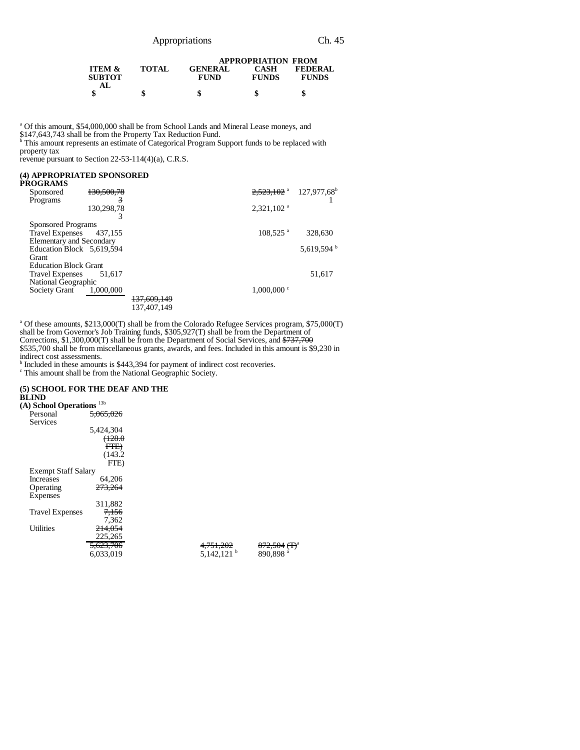| Appropriations |
|----------------|
|                |

|                                           |              |                               | <b>APPROPRIATION FROM</b> |                                |
|-------------------------------------------|--------------|-------------------------------|---------------------------|--------------------------------|
| <b>ITEM &amp;</b><br><b>SUBTOT</b><br>AL. | <b>TOTAL</b> | <b>GENERAL</b><br><b>FUND</b> | CASH<br><b>FUNDS</b>      | <b>FEDERAL</b><br><b>FUNDS</b> |
|                                           |              |                               |                           |                                |

<sup>a</sup> Of this amount, \$54,000,000 shall be from School Lands and Mineral Lease moneys, and

\$147,643,743 shall be from the Property Tax Reduction Fund. b This amount represents an estimate of Categorical Program Support funds to be replaced with property tax

revenue pursuant to Section 22-53-114(4)(a), C.R.S.

# **(4) APPROPRIATED SPONSORED**

| PROGRAMS                        |            |                        |                          |                        |
|---------------------------------|------------|------------------------|--------------------------|------------------------|
| Sponsored                       | 130.500.78 |                        | $2.523.102$ <sup>a</sup> | $127,977,68^{\rm b}$   |
| Programs                        | 3          |                        |                          |                        |
|                                 | 130,298,78 |                        | $2,321,102$ <sup>a</sup> |                        |
|                                 |            |                        |                          |                        |
| Sponsored Programs              |            |                        |                          |                        |
| Travel Expenses 437,155         |            |                        | $108,525$ <sup>a</sup>   | 328,630                |
| <b>Elementary and Secondary</b> |            |                        |                          |                        |
| Education Block 5,619,594       |            |                        |                          | 5,619,594 <sup>b</sup> |
| Grant                           |            |                        |                          |                        |
| <b>Education Block Grant</b>    |            |                        |                          |                        |
| <b>Travel Expenses</b>          | 51.617     |                        |                          | 51,617                 |
| National Geographic             |            |                        |                          |                        |
| Society Grant                   | 1,000,000  |                        | $1,000,000$ c            |                        |
|                                 |            | <del>137,609,149</del> |                          |                        |
|                                 |            | 137,407,149            |                          |                        |
|                                 |            |                        |                          |                        |

<sup>a</sup> Of these amounts, \$213,000(T) shall be from the Colorado Refugee Services program, \$75,000(T) shall be from Governor's Job Training funds, \$305,927(T) shall be from the Department of Corrections, \$1,300,000(T) shall be from the Department of Social Services, and \$737,700 \$535,700 shall be from miscellaneous grants, awards, and fees. Included in this amount is \$9,230 in indirect cost assessments. b Included in these amounts is \$443,394 for payment of indirect cost recoveries.

c This amount shall be from the National Geographic Society.

## **(5) SCHOOL FOR THE DEAF AND THE**

**BLIND**

| $(A)$ School Operations $13b$ |           |                        |                          |
|-------------------------------|-----------|------------------------|--------------------------|
| Personal                      | 5.065.026 |                        |                          |
| Services                      |           |                        |                          |
|                               | 5,424,304 |                        |                          |
|                               | (128.0)   |                        |                          |
|                               | FTE       |                        |                          |
|                               | (143.2)   |                        |                          |
|                               | FTE)      |                        |                          |
| <b>Exempt Staff Salary</b>    |           |                        |                          |
| Increases                     | 64,206    |                        |                          |
| Operating                     | 273,264   |                        |                          |
| Expenses                      |           |                        |                          |
|                               | 311,882   |                        |                          |
| <b>Travel Expenses</b>        | 7,156     |                        |                          |
|                               | 7,362     |                        |                          |
| <b>Utilities</b>              | 214,054   |                        |                          |
|                               | 225,265   |                        |                          |
|                               | 5,623,706 | 4,751,202              | 872,504 (T) <sup>a</sup> |
|                               | 6,033,019 | 5.142.121 <sup>b</sup> | 890.898 <sup>a</sup>     |
|                               |           |                        |                          |
|                               |           |                        |                          |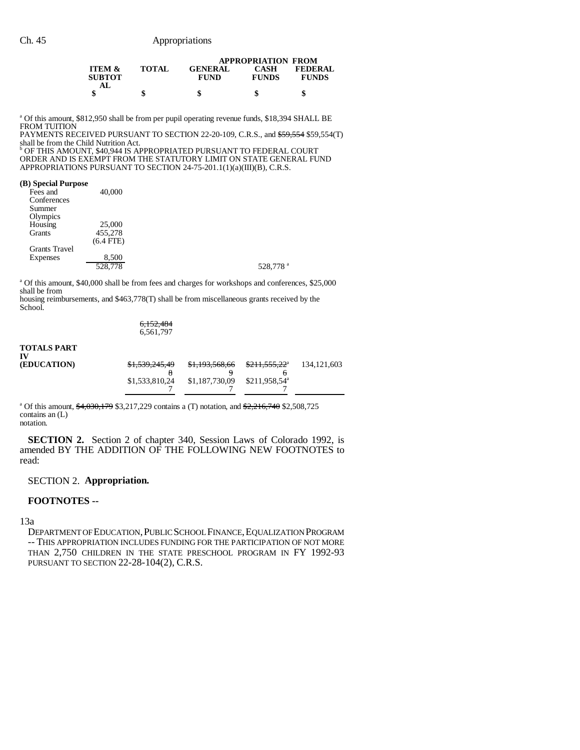|                                           |              |                               | <b>APPROPRIATION FROM</b> |                                |
|-------------------------------------------|--------------|-------------------------------|---------------------------|--------------------------------|
| <b>ITEM &amp;</b><br><b>SUBTOT</b><br>AL. | <b>TOTAL</b> | <b>GENERAL</b><br><b>FUND</b> | CASH<br><b>FUNDS</b>      | <b>FEDERAL</b><br><b>FUNDS</b> |
|                                           | \$           |                               |                           | S                              |

<sup>a</sup> Of this amount, \$812,950 shall be from per pupil operating revenue funds, \$18,394 SHALL BE FROM TUITION

PAYMENTS RECEIVED PURSUANT TO SECTION 22-20-109, C.R.S., and \$59,554 \$59,554(T)

shall be from the Child Nutrition Act. b OF THIS AMOUNT, \$40,944 IS APPROPRIATED PURSUANT TO FEDERAL COURT ORDER AND IS EXEMPT FROM THE STATUTORY LIMIT ON STATE GENERAL FUND APPROPRIATIONS PURSUANT TO SECTION 24-75-201.1(1)(a)(III)(B), C.R.S.

#### **(B) Special Purpose**

| Fees and             | 40,000      |                      |
|----------------------|-------------|----------------------|
| Conferences          |             |                      |
| Summer               |             |                      |
| Olympics             |             |                      |
| Housing              | 25,000      |                      |
| Grants               | 455,278     |                      |
|                      | $(6.4$ FTE) |                      |
| <b>Grants Travel</b> |             |                      |
| Expenses             | 8,500       |                      |
|                      | 528,778     | 528,778 <sup>a</sup> |
|                      |             |                      |

<sup>a</sup> Of this amount, \$40,000 shall be from fees and charges for workshops and conferences, \$25,000 shall be from

housing reimbursements, and \$463,778(T) shall be from miscellaneous grants received by the School.

$$
6,\!152,\!484\\6,\!561,\!797
$$

# **TOTALS PART IV**

| <b>(EDUCATION)</b> | \$1,539,245,49 | \$1,193,568,66 | <del>\$211,555,22</del> <sup>a</sup> | 134, 121, 603 |
|--------------------|----------------|----------------|--------------------------------------|---------------|
|                    |                |                |                                      |               |
|                    | \$1,533,810,24 | \$1,187,730,09 | $$211.958.54^{\circ}$                |               |
|                    |                |                |                                      |               |

<sup>a</sup> Of this amount, \$4,030,179 \$3,217,229 contains a (T) notation, and \$2,216,740 \$2,508,725 contains an (L) notation.

**SECTION 2.** Section 2 of chapter 340, Session Laws of Colorado 1992, is amended BY THE ADDITION OF THE FOLLOWING NEW FOOTNOTES to read:

## SECTION 2. **Appropriation.**

### **FOOTNOTES --**

13a

DEPARTMENT OF EDUCATION,PUBLIC SCHOOL FINANCE,EQUALIZATION PROGRAM -- THIS APPROPRIATION INCLUDES FUNDING FOR THE PARTICIPATION OF NOT MORE THAN 2,750 CHILDREN IN THE STATE PRESCHOOL PROGRAM IN FY 1992-93 PURSUANT TO SECTION 22-28-104(2), C.R.S.